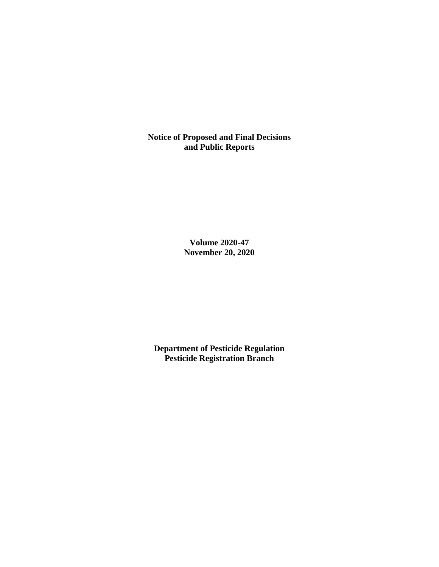**Notice of Proposed and Final Decisions and Public Reports**

> **Volume 2020-47 November 20, 2020**

**Department of Pesticide Regulation Pesticide Registration Branch**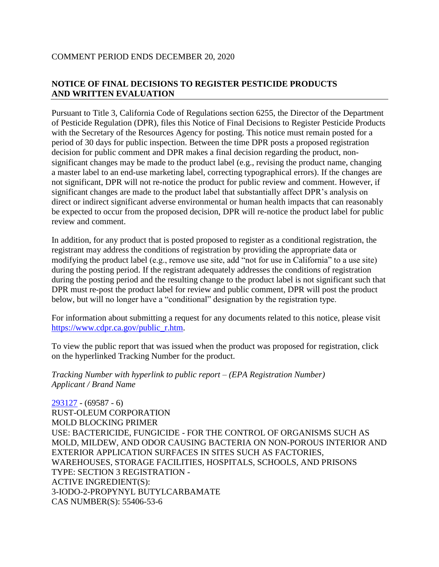## COMMENT PERIOD ENDS DECEMBER 20, 2020

# **NOTICE OF FINAL DECISIONS TO REGISTER PESTICIDE PRODUCTS AND WRITTEN EVALUATION**

Pursuant to Title 3, California Code of Regulations section 6255, the Director of the Department of Pesticide Regulation (DPR), files this Notice of Final Decisions to Register Pesticide Products with the Secretary of the Resources Agency for posting. This notice must remain posted for a period of 30 days for public inspection. Between the time DPR posts a proposed registration decision for public comment and DPR makes a final decision regarding the product, nonsignificant changes may be made to the product label (e.g., revising the product name, changing a master label to an end-use marketing label, correcting typographical errors). If the changes are not significant, DPR will not re-notice the product for public review and comment. However, if significant changes are made to the product label that substantially affect DPR's analysis on direct or indirect significant adverse environmental or human health impacts that can reasonably be expected to occur from the proposed decision, DPR will re-notice the product label for public review and comment.

In addition, for any product that is posted proposed to register as a conditional registration, the registrant may address the conditions of registration by providing the appropriate data or modifying the product label (e.g., remove use site, add "not for use in California" to a use site) during the posting period. If the registrant adequately addresses the conditions of registration during the posting period and the resulting change to the product label is not significant such that DPR must re-post the product label for review and public comment, DPR will post the product below, but will no longer have a "conditional" designation by the registration type.

For information about submitting a request for any documents related to this notice, please visit [https://www.cdpr.ca.gov/public\\_r.htm.](https://www.cdpr.ca.gov/public_r.htm)

To view the public report that was issued when the product was proposed for registration, click on the hyperlinked Tracking Number for the product.

*Tracking Number with hyperlink to public report – (EPA Registration Number) Applicant / Brand Name*

[293127](https://www.cdpr.ca.gov/docs/registration/nod/public_reports/293127.pdf) - (69587 - 6) RUST-OLEUM CORPORATION MOLD BLOCKING PRIMER USE: BACTERICIDE, FUNGICIDE - FOR THE CONTROL OF ORGANISMS SUCH AS MOLD, MILDEW, AND ODOR CAUSING BACTERIA ON NON-POROUS INTERIOR AND EXTERIOR APPLICATION SURFACES IN SITES SUCH AS FACTORIES, WAREHOUSES, STORAGE FACILITIES, HOSPITALS, SCHOOLS, AND PRISONS TYPE: SECTION 3 REGISTRATION - ACTIVE INGREDIENT(S): 3-IODO-2-PROPYNYL BUTYLCARBAMATE CAS NUMBER(S): 55406-53-6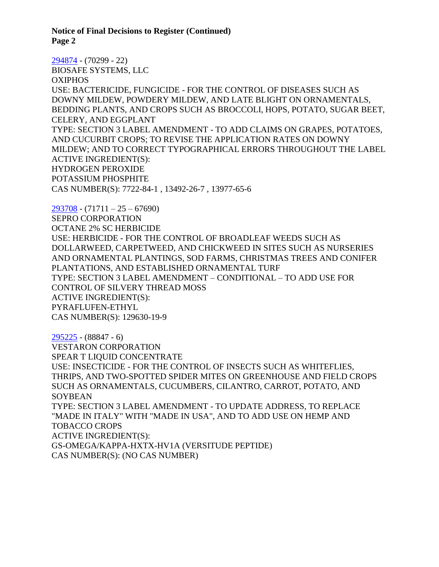**Notice of Final Decisions to Register (Continued) Page 2**

[294874](https://www.cdpr.ca.gov/docs/registration/nod/public_reports/294874.pdf) - (70299 - 22) BIOSAFE SYSTEMS, LLC OXIPHOS USE: BACTERICIDE, FUNGICIDE - FOR THE CONTROL OF DISEASES SUCH AS DOWNY MILDEW, POWDERY MILDEW, AND LATE BLIGHT ON ORNAMENTALS, BEDDING PLANTS, AND CROPS SUCH AS BROCCOLI, HOPS, POTATO, SUGAR BEET, CELERY, AND EGGPLANT TYPE: SECTION 3 LABEL AMENDMENT - TO ADD CLAIMS ON GRAPES, POTATOES, AND CUCURBIT CROPS; TO REVISE THE APPLICATION RATES ON DOWNY MILDEW; AND TO CORRECT TYPOGRAPHICAL ERRORS THROUGHOUT THE LABEL ACTIVE INGREDIENT(S): HYDROGEN PEROXIDE POTASSIUM PHOSPHITE CAS NUMBER(S): 7722-84-1 , 13492-26-7 , 13977-65-6

[293708](https://www.cdpr.ca.gov/docs/registration/nod/public_reports/293708.pdf) - (71711 – 25 – 67690) SEPRO CORPORATION OCTANE 2% SC HERBICIDE USE: HERBICIDE - FOR THE CONTROL OF BROADLEAF WEEDS SUCH AS DOLLARWEED, CARPETWEED, AND CHICKWEED IN SITES SUCH AS NURSERIES AND ORNAMENTAL PLANTINGS, SOD FARMS, CHRISTMAS TREES AND CONIFER PLANTATIONS, AND ESTABLISHED ORNAMENTAL TURF TYPE: SECTION 3 LABEL AMENDMENT – CONDITIONAL – TO ADD USE FOR CONTROL OF SILVERY THREAD MOSS ACTIVE INGREDIENT(S): PYRAFLUFEN-ETHYL CAS NUMBER(S): 129630-19-9

[295225](https://www.cdpr.ca.gov/docs/registration/nod/public_reports/295225.pdf) - (88847 - 6) VESTARON CORPORATION SPEAR T LIQUID CONCENTRATE USE: INSECTICIDE - FOR THE CONTROL OF INSECTS SUCH AS WHITEFLIES, THRIPS, AND TWO-SPOTTED SPIDER MITES ON GREENHOUSE AND FIELD CROPS SUCH AS ORNAMENTALS, CUCUMBERS, CILANTRO, CARROT, POTATO, AND **SOYBEAN** TYPE: SECTION 3 LABEL AMENDMENT - TO UPDATE ADDRESS, TO REPLACE "MADE IN ITALY" WITH "MADE IN USA", AND TO ADD USE ON HEMP AND TOBACCO CROPS ACTIVE INGREDIENT(S): GS-OMEGA/KAPPA-HXTX-HV1A (VERSITUDE PEPTIDE) CAS NUMBER(S): (NO CAS NUMBER)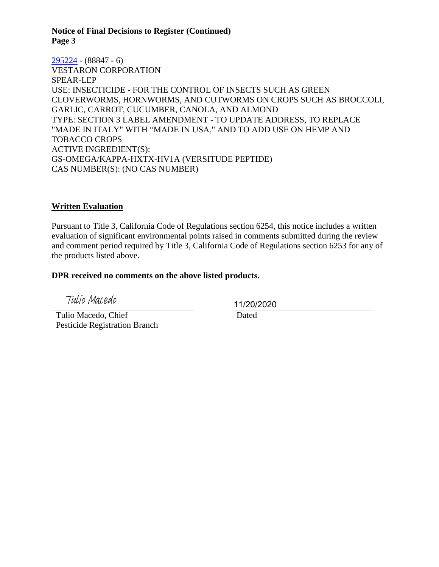## **Notice of Final Decisions to Register (Continued) Page 3**

### [295224](https://www.cdpr.ca.gov/docs/registration/nod/public_reports/295224.pdf) - (88847 - 6)

VESTARON CORPORATION SPEAR-LEP USE: INSECTICIDE - FOR THE CONTROL OF INSECTS SUCH AS GREEN CLOVERWORMS, HORNWORMS, AND CUTWORMS ON CROPS SUCH AS BROCCOLI, GARLIC, CARROT, CUCUMBER, CANOLA, AND ALMOND TYPE: SECTION 3 LABEL AMENDMENT - TO UPDATE ADDRESS, TO REPLACE "MADE IN ITALY" WITH "MADE IN USA," AND TO ADD USE ON HEMP AND TOBACCO CROPS ACTIVE INGREDIENT(S): GS-OMEGA/KAPPA-HXTX-HV1A (VERSITUDE PEPTIDE) CAS NUMBER(S): (NO CAS NUMBER)

### **Written Evaluation**

Pursuant to Title 3, California Code of Regulations section 6254, this notice includes a written evaluation of significant environmental points raised in comments submitted during the review and comment period required by Title 3, California Code of Regulations section 6253 for any of the products listed above.

## **DPR received no comments on the above listed products.**

Tulio Macedo

 Tulio Macedo, Chief Pesticide Registration Branch 11/20/2020

Dated